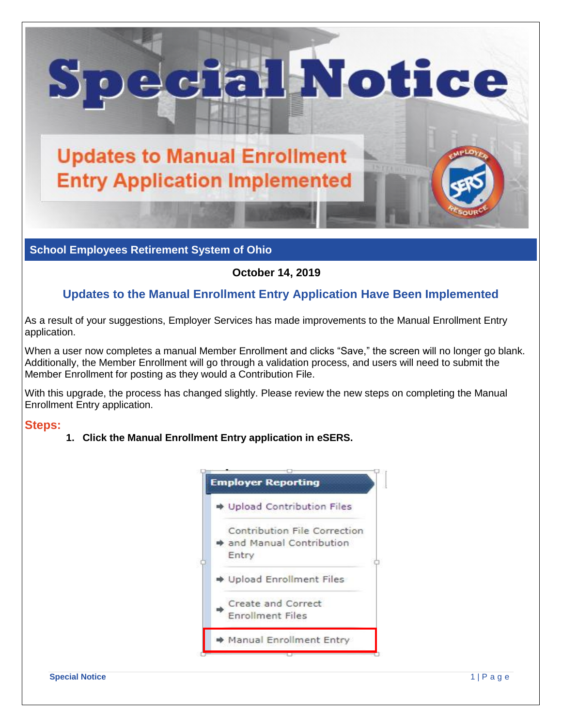

**School Employees Retirement System of Ohio**

## **October 14, 2019**

# **Updates to the Manual Enrollment Entry Application Have Been Implemented**

As a result of your suggestions, Employer Services has made improvements to the Manual Enrollment Entry application.

When a user now completes a manual Member Enrollment and clicks "Save," the screen will no longer go blank. Additionally, the Member Enrollment will go through a validation process, and users will need to submit the Member Enrollment for posting as they would a Contribution File.

With this upgrade, the process has changed slightly. Please review the new steps on completing the Manual Enrollment Entry application.

### **Steps:**

**1. Click the Manual Enrollment Entry application in eSERS.** 

| <b>Employer Reporting</b>                                        |
|------------------------------------------------------------------|
| → Upload Contribution Files                                      |
| Contribution File Correction<br>and Manual Contribution<br>Entry |
| → Upload Enrollment Files                                        |
| Create and Correct<br><b>Enrollment Files</b>                    |
| Manual Enrollment Entry                                          |

#### **Special Notice** 1 | P a g e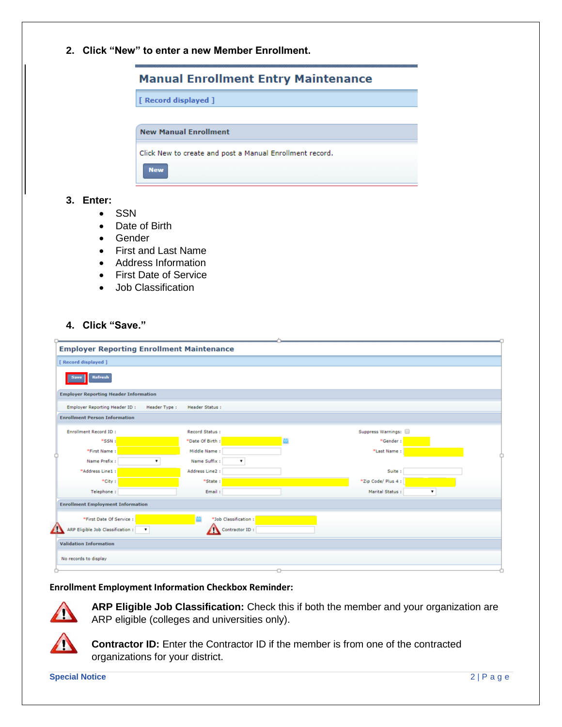**2. Click "New" to enter a new Member Enrollment.** 

|                                                          | <b>Manual Enrollment Entry Maintenance</b> |
|----------------------------------------------------------|--------------------------------------------|
| [ Record displayed ]                                     |                                            |
| <b>New Manual Enrollment</b>                             |                                            |
| Click New to create and post a Manual Enrollment record. |                                            |
| <b>New</b>                                               |                                            |

#### **3. Enter:**

- SSN
- Date of Birth
- Gender
- First and Last Name
- Address Information
- First Date of Service
- Job Classification

### **4. Click "Save."**

|                                              | <b>Employer Reporting Enrollment Maintenance</b> |                       |                     |  |
|----------------------------------------------|--------------------------------------------------|-----------------------|---------------------|--|
| [ Record displayed ]                         |                                                  |                       |                     |  |
| <b>Refresh</b><br>Save                       |                                                  |                       |                     |  |
| <b>Employer Reporting Header Information</b> |                                                  |                       |                     |  |
| Employer Reporting Header ID:                | Header Type:                                     | <b>Header Status:</b> |                     |  |
| <b>Enrollment Person Information</b>         |                                                  |                       |                     |  |
| Enrollment Record ID:                        |                                                  | Record Status:        | Suppress Warnings:  |  |
| *SSN:                                        |                                                  | *Date Of Birth:       | *Gender:            |  |
| *First Name:                                 |                                                  | Middle Name:          | *Last Name:         |  |
| Name Prefix:                                 | ۰                                                | Name Suffix:<br>٠     |                     |  |
| *Address Line1 :                             |                                                  | Address Line2 :       | Suite :             |  |
| *City:                                       |                                                  | *State:               | *Zip Code/ Plus 4 : |  |
| Telephone:                                   |                                                  | Email:                | Marital Status:     |  |
| <b>Enrollment Employment Information</b>     |                                                  |                       |                     |  |
| *First Date Of Service :                     |                                                  | *Job Classification:  |                     |  |
| 41<br>ARP Eligible Job Classification :      | $\mathbf{v}$                                     | Contractor ID:        |                     |  |
| <b>Validation Information</b>                |                                                  |                       |                     |  |
| No records to display                        |                                                  |                       |                     |  |
|                                              |                                                  |                       |                     |  |

#### **Enrollment Employment Information Checkbox Reminder:**



**ARP Eligible Job Classification:** Check this if both the member and your organization are ARP eligible (colleges and universities only).



**Contractor ID:** Enter the Contractor ID if the member is from one of the contracted organizations for your district.

**Special Notice** 2 | P a g e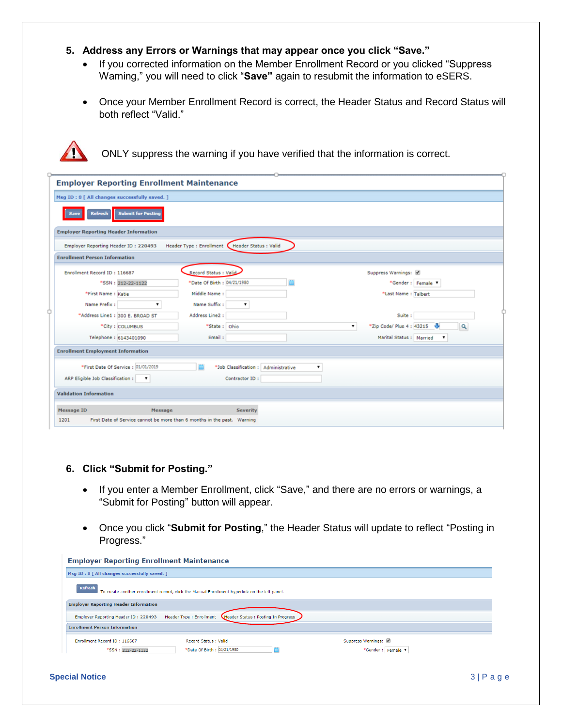### **5. Address any Errors or Warnings that may appear once you click "Save."**

- If you corrected information on the Member Enrollment Record or you clicked "Suppress Warning," you will need to click "**Save"** again to resubmit the information to eSERS.
- Once your Member Enrollment Record is correct, the Header Status and Record Status will both reflect "Valid."



ONLY suppress the warning if you have verified that the information is correct.

| <b>Employer Reporting Enrollment Maintenance</b>                                                                                                                                                                                                                          |
|---------------------------------------------------------------------------------------------------------------------------------------------------------------------------------------------------------------------------------------------------------------------------|
| Msg ID: 8 [ All changes successfully saved. ]                                                                                                                                                                                                                             |
| <b>Submit for Posting</b><br><b>Refresh</b><br>Save                                                                                                                                                                                                                       |
| <b>Employer Reporting Header Information</b>                                                                                                                                                                                                                              |
| Header Type : Enrollment   Header Status : Valid<br>Employer Reporting Header ID: 220493                                                                                                                                                                                  |
| <b>Enrollment Person Information</b>                                                                                                                                                                                                                                      |
| Record Status : Valid<br>Enrollment Record ID: 116687<br>Suppress Warnings:<br>*Date Of Birth : 04/21/1980<br>*Gender: Female<br>*SSN: 212-22-1122                                                                                                                        |
| *First Name: Katie<br>Middle Name:<br>*Last Name: Talbert                                                                                                                                                                                                                 |
| Name Suffix:<br>Name Prefix:<br>$\pmb{\mathrm{v}}$<br>Address Line2 :<br>Suite :<br>"Address Line1 : 300 E. BROAD ST<br>*Zip Code/ Plus 4: 43215<br>*State: Ohio<br>w<br>۷.<br>$\alpha$<br>*City: COLUMBUS<br>Telephone: 6143401090<br>Email:<br>Marital Status : Married |
| <b>Enrollment Employment Information</b>                                                                                                                                                                                                                                  |
| *First Date Of Service : 01/01/2019<br>*Job Classification : Administrative                                                                                                                                                                                               |
| ARP Eligible Job Classification :<br>Contractor ID:<br>$\bullet$                                                                                                                                                                                                          |
| <b>Validation Information</b>                                                                                                                                                                                                                                             |
| <b>Message ID</b><br>Message<br><b>Severity</b><br>First Date of Service cannot be more than 6 months in the past. Warning<br>1201                                                                                                                                        |

#### **6. Click "Submit for Posting."**

- If you enter a Member Enrollment, click "Save," and there are no errors or warnings, a "Submit for Posting" button will appear.
- Once you click "**Submit for Posting**," the Header Status will update to reflect "Posting in Progress."

| Msg ID: 8   All changes successfully saved. ]<br><b>Refresh</b><br>To create another enrollment record, click the Manual Enrollment hyperlink on the left panel.<br><b>Employer Reporting Header Information</b><br>Header Status : Posting In Progress<br><b>Header Type: Enrollment</b><br>Employer Reporting Header ID: 220493<br><b>Enrollment Person Information</b><br>Enrollment Record ID: 116687<br>Record Status : Valid |                    |
|------------------------------------------------------------------------------------------------------------------------------------------------------------------------------------------------------------------------------------------------------------------------------------------------------------------------------------------------------------------------------------------------------------------------------------|--------------------|
|                                                                                                                                                                                                                                                                                                                                                                                                                                    |                    |
|                                                                                                                                                                                                                                                                                                                                                                                                                                    |                    |
|                                                                                                                                                                                                                                                                                                                                                                                                                                    |                    |
|                                                                                                                                                                                                                                                                                                                                                                                                                                    |                    |
|                                                                                                                                                                                                                                                                                                                                                                                                                                    |                    |
|                                                                                                                                                                                                                                                                                                                                                                                                                                    | Suppress Warnings: |
| *Date Of Birth : 04/21/1980<br>*SSN: 212-22-1122                                                                                                                                                                                                                                                                                                                                                                                   | *Gender: Female V  |
|                                                                                                                                                                                                                                                                                                                                                                                                                                    |                    |
| <b>Special Notice</b>                                                                                                                                                                                                                                                                                                                                                                                                              | 3                  |